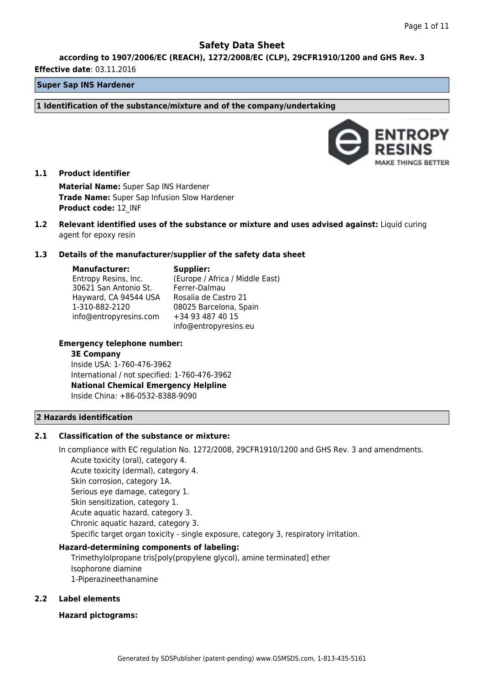**according to 1907/2006/EC (REACH), 1272/2008/EC (CLP), 29CFR1910/1200 and GHS Rev. 3**

#### **Effective date**: 03.11.2016

## **Super Sap INS Hardener**

**1 Identification of the substance/mixture and of the company/undertaking**



## **1.1 Product identifier**

**Material Name:** Super Sap INS Hardener **Trade Name:** Super Sap Infusion Slow Hardener **Product code:** 12\_INF

**1.2 Relevant identified uses of the substance or mixture and uses advised against:** Liquid curing agent for epoxy resin

#### **1.3 Details of the manufacturer/supplier of the safety data sheet**

**Manufacturer:** Entropy Resins, Inc. 30621 San Antonio St. Hayward, CA 94544 USA Rosalia de Castro 21 1-310-882-2120 info@entropyresins.com **Supplier:** (Europe / Africa / Middle East) Ferrer-Dalmau 08025 Barcelona, Spain +34 93 487 40 15 info@entropyresins.eu

## **Emergency telephone number:**

#### **3E Company**

Inside USA: 1-760-476-3962 International / not specified: 1-760-476-3962 **National Chemical Emergency Helpline** Inside China: +86-0532-8388-9090

## **2 Hazards identification**

#### **2.1 Classification of the substance or mixture:**

In compliance with EC regulation No. 1272/2008, 29CFR1910/1200 and GHS Rev. 3 and amendments. Acute toxicity (oral), category 4. Acute toxicity (dermal), category 4. Skin corrosion, category 1A. Serious eye damage, category 1. Skin sensitization, category 1. Acute aquatic hazard, category 3. Chronic aquatic hazard, category 3. Specific target organ toxicity - single exposure, category 3, respiratory irritation.

#### **Hazard-determining components of labeling:**

Trimethylolpropane tris[poly(propylene glycol), amine terminated] ether Isophorone diamine 1-Piperazineethanamine

## **2.2 Label elements**

#### **Hazard pictograms:**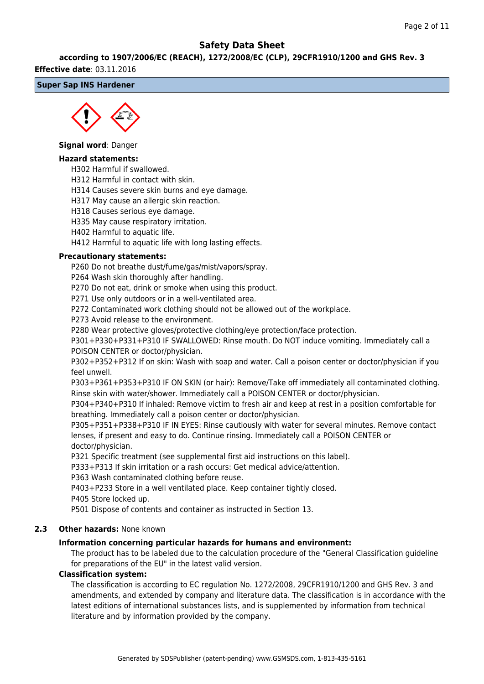#### **according to 1907/2006/EC (REACH), 1272/2008/EC (CLP), 29CFR1910/1200 and GHS Rev. 3**

#### **Effective date**: 03.11.2016

## **Super Sap INS Hardener**



#### **Signal word**: Danger

### **Hazard statements:**

H302 Harmful if swallowed.

H312 Harmful in contact with skin.

H314 Causes severe skin burns and eye damage.

H317 May cause an allergic skin reaction.

H318 Causes serious eye damage.

H335 May cause respiratory irritation.

H402 Harmful to aquatic life.

H412 Harmful to aquatic life with long lasting effects.

#### **Precautionary statements:**

P260 Do not breathe dust/fume/gas/mist/vapors/spray.

P264 Wash skin thoroughly after handling.

P270 Do not eat, drink or smoke when using this product.

P271 Use only outdoors or in a well-ventilated area.

P272 Contaminated work clothing should not be allowed out of the workplace.

P273 Avoid release to the environment.

P280 Wear protective gloves/protective clothing/eye protection/face protection.

P301+P330+P331+P310 IF SWALLOWED: Rinse mouth. Do NOT induce vomiting. Immediately call a POISON CENTER or doctor/physician.

P302+P352+P312 If on skin: Wash with soap and water. Call a poison center or doctor/physician if you feel unwell.

P303+P361+P353+P310 IF ON SKIN (or hair): Remove/Take off immediately all contaminated clothing. Rinse skin with water/shower. Immediately call a POISON CENTER or doctor/physician.

P304+P340+P310 If inhaled: Remove victim to fresh air and keep at rest in a position comfortable for breathing. Immediately call a poison center or doctor/physician.

P305+P351+P338+P310 IF IN EYES: Rinse cautiously with water for several minutes. Remove contact lenses, if present and easy to do. Continue rinsing. Immediately call a POISON CENTER or doctor/physician.

P321 Specific treatment (see supplemental first aid instructions on this label).

P333+P313 If skin irritation or a rash occurs: Get medical advice/attention.

P363 Wash contaminated clothing before reuse.

P403+P233 Store in a well ventilated place. Keep container tightly closed.

P405 Store locked up.

P501 Dispose of contents and container as instructed in Section 13.

## **2.3 Other hazards:** None known

#### **Information concerning particular hazards for humans and environment:**

The product has to be labeled due to the calculation procedure of the "General Classification guideline for preparations of the EU" in the latest valid version.

#### **Classification system:**

The classification is according to EC regulation No. 1272/2008, 29CFR1910/1200 and GHS Rev. 3 and amendments, and extended by company and literature data. The classification is in accordance with the latest editions of international substances lists, and is supplemented by information from technical literature and by information provided by the company.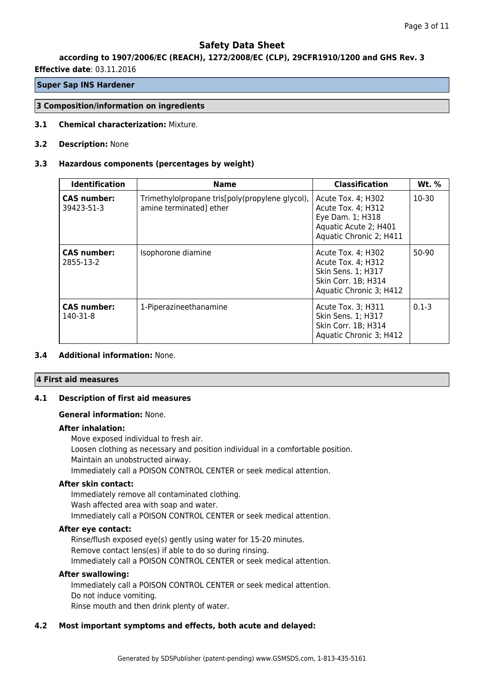## **according to 1907/2006/EC (REACH), 1272/2008/EC (CLP), 29CFR1910/1200 and GHS Rev. 3**

**Effective date**: 03.11.2016

## **Super Sap INS Hardener**

#### **3 Composition/information on ingredients**

**3.1 Chemical characterization:** Mixture.

#### **3.2 Description:** None

#### **3.3 Hazardous components (percentages by weight)**

| <b>Identification</b>           | <b>Name</b>                                                                | <b>Classification</b>                                                                                            | <b>Wt.</b> % |
|---------------------------------|----------------------------------------------------------------------------|------------------------------------------------------------------------------------------------------------------|--------------|
| CAS number:<br>39423-51-3       | Trimethylolpropane tris[poly(propylene glycol),<br>amine terminated] ether | Acute Tox. 4; H302<br>Acute Tox. 4; H312<br>Eye Dam. 1; H318<br>Aquatic Acute 2; H401<br>Aquatic Chronic 2; H411 | $10-30$      |
| <b>CAS number:</b><br>2855-13-2 | Isophorone diamine                                                         | Acute Tox. 4; H302<br>Acute Tox. 4; H312<br>Skin Sens. 1; H317<br>Skin Corr. 1B; H314<br>Aquatic Chronic 3; H412 | 50-90        |
| <b>CAS number:</b><br>140-31-8  | 1-Piperazineethanamine                                                     | Acute Tox. 3; H311<br>Skin Sens. 1; H317<br>Skin Corr. 1B; H314<br>Aquatic Chronic 3; H412                       | $0.1 - 3$    |

## **3.4 Additional information:** None.

#### **4 First aid measures**

## **4.1 Description of first aid measures**

#### **General information:** None.

#### **After inhalation:**

Move exposed individual to fresh air. Loosen clothing as necessary and position individual in a comfortable position. Maintain an unobstructed airway. Immediately call a POISON CONTROL CENTER or seek medical attention.

## **After skin contact:**

Immediately remove all contaminated clothing. Wash affected area with soap and water. Immediately call a POISON CONTROL CENTER or seek medical attention.

#### **After eye contact:**

Rinse/flush exposed eye(s) gently using water for 15-20 minutes. Remove contact lens(es) if able to do so during rinsing. Immediately call a POISON CONTROL CENTER or seek medical attention.

#### **After swallowing:**

Immediately call a POISON CONTROL CENTER or seek medical attention. Do not induce vomiting.

Rinse mouth and then drink plenty of water.

## **4.2 Most important symptoms and effects, both acute and delayed:**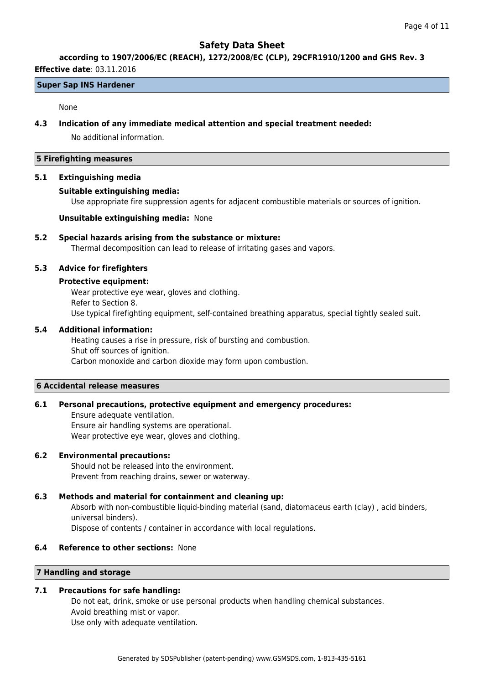## **according to 1907/2006/EC (REACH), 1272/2008/EC (CLP), 29CFR1910/1200 and GHS Rev. 3**

## **Effective date**: 03.11.2016

## **Super Sap INS Hardener**

#### None

### **4.3 Indication of any immediate medical attention and special treatment needed:**

No additional information.

### **5 Firefighting measures**

#### **5.1 Extinguishing media**

## **Suitable extinguishing media:**

Use appropriate fire suppression agents for adjacent combustible materials or sources of ignition.

## **Unsuitable extinguishing media:** None

## **5.2 Special hazards arising from the substance or mixture:**

Thermal decomposition can lead to release of irritating gases and vapors.

## **5.3 Advice for firefighters**

## **Protective equipment:**

Wear protective eye wear, gloves and clothing. Refer to Section 8. Use typical firefighting equipment, self-contained breathing apparatus, special tightly sealed suit.

## **5.4 Additional information:**

Heating causes a rise in pressure, risk of bursting and combustion. Shut off sources of ignition. Carbon monoxide and carbon dioxide may form upon combustion.

#### **6 Accidental release measures**

#### **6.1 Personal precautions, protective equipment and emergency procedures:**

Ensure adequate ventilation. Ensure air handling systems are operational. Wear protective eye wear, gloves and clothing.

## **6.2 Environmental precautions:**

Should not be released into the environment. Prevent from reaching drains, sewer or waterway.

#### **6.3 Methods and material for containment and cleaning up:**

Absorb with non-combustible liquid-binding material (sand, diatomaceus earth (clay) , acid binders, universal binders).

Dispose of contents / container in accordance with local regulations.

## **6.4 Reference to other sections:** None

## **7 Handling and storage**

## **7.1 Precautions for safe handling:**

Do not eat, drink, smoke or use personal products when handling chemical substances. Avoid breathing mist or vapor. Use only with adequate ventilation.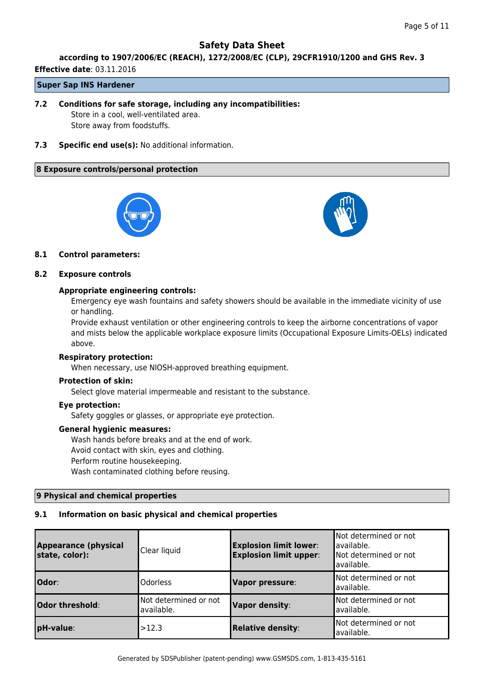## **according to 1907/2006/EC (REACH), 1272/2008/EC (CLP), 29CFR1910/1200 and GHS Rev. 3**

**Effective date**: 03.11.2016

## **Super Sap INS Hardener**

- **7.2 Conditions for safe storage, including any incompatibilities:** Store in a cool, well-ventilated area. Store away from foodstuffs.
- **7.3 Specific end use(s):** No additional information.

## **8 Exposure controls/personal protection**





## **8.1 Control parameters:**

## **8.2 Exposure controls**

## **Appropriate engineering controls:**

Emergency eye wash fountains and safety showers should be available in the immediate vicinity of use or handling.

Provide exhaust ventilation or other engineering controls to keep the airborne concentrations of vapor and mists below the applicable workplace exposure limits (Occupational Exposure Limits-OELs) indicated above.

#### **Respiratory protection:**

When necessary, use NIOSH-approved breathing equipment.

## **Protection of skin:**

Select glove material impermeable and resistant to the substance.

## **Eye protection:**

Safety goggles or glasses, or appropriate eye protection.

#### **General hygienic measures:**

Wash hands before breaks and at the end of work. Avoid contact with skin, eyes and clothing. Perform routine housekeeping. Wash contaminated clothing before reusing.

## **9 Physical and chemical properties**

## **9.1 Information on basic physical and chemical properties**

| <b>Appearance (physical</b><br>state, color): | Clear liquid                        | <b>Explosion limit lower:</b><br><b>Explosion limit upper:</b> | Not determined or not<br>lavailable.<br>Not determined or not<br>lavailable. |
|-----------------------------------------------|-------------------------------------|----------------------------------------------------------------|------------------------------------------------------------------------------|
| Odor:                                         | Odorless                            | <b>Vapor pressure:</b>                                         | Not determined or not<br>lavailable.                                         |
| Odor threshold:                               | Not determined or not<br>available. | <b>Vapor density:</b>                                          | Not determined or not<br>lavailable.                                         |
| pH-value:                                     | >12.3                               | <b>Relative density:</b>                                       | Not determined or not<br>lavailable.                                         |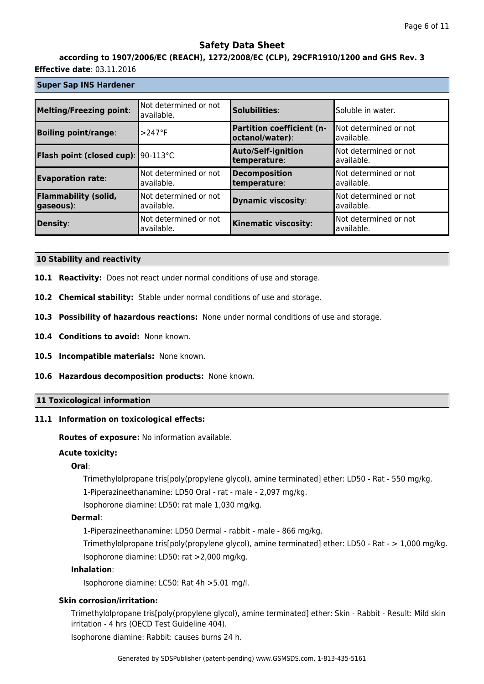# **according to 1907/2006/EC (REACH), 1272/2008/EC (CLP), 29CFR1910/1200 and GHS Rev. 3**

## **Effective date**: 03.11.2016

## **Super Sap INS Hardener**

| <b>Melting/Freezing point:</b>            | Not determined or not<br>available. | Solubilities:                                       | Soluble in water.                    |
|-------------------------------------------|-------------------------------------|-----------------------------------------------------|--------------------------------------|
| <b>Boiling point/range:</b>               | $>247$ °F                           | <b>Partition coefficient (n-</b><br>octanol/water): | lNot determined or not<br>available. |
| <b>Flash point (closed cup): 90-113°C</b> |                                     | <b>Auto/Self-ignition</b><br>temperature:           | Not determined or not<br>available.  |
| <b>Evaporation rate:</b>                  | Not determined or not<br>available. | <b>Decomposition</b><br>temperature:                | Not determined or not<br>available.  |
| <b>Flammability (solid,</b><br>gaseous):  | Not determined or not<br>available. | <b>Dynamic viscosity:</b>                           | Not determined or not<br>available.  |
| Density:                                  | Not determined or not<br>available. | <b>Kinematic viscosity:</b>                         | Not determined or not<br>available.  |

#### **10 Stability and reactivity**

- **10.1 Reactivity:** Does not react under normal conditions of use and storage.
- **10.2 Chemical stability:** Stable under normal conditions of use and storage.
- **10.3 Possibility of hazardous reactions:** None under normal conditions of use and storage.
- **10.4 Conditions to avoid:** None known.
- **10.5 Incompatible materials:** None known.
- **10.6 Hazardous decomposition products:** None known.

## **11 Toxicological information**

## **11.1 Information on toxicological effects:**

**Routes of exposure:** No information available.

## **Acute toxicity:**

## **Oral**:

Trimethylolpropane tris[poly(propylene glycol), amine terminated] ether: LD50 - Rat - 550 mg/kg.

1-Piperazineethanamine: LD50 Oral - rat - male - 2,097 mg/kg.

Isophorone diamine: LD50: rat male 1,030 mg/kg.

## **Dermal**:

1-Piperazineethanamine: LD50 Dermal - rabbit - male - 866 mg/kg.

Trimethylolpropane tris[poly(propylene glycol), amine terminated] ether: LD50 - Rat - > 1,000 mg/kg. Isophorone diamine: LD50: rat >2,000 mg/kg.

## **Inhalation**:

Isophorone diamine: LC50: Rat 4h >5.01 mg/l.

## **Skin corrosion/irritation:**

Trimethylolpropane tris[poly(propylene glycol), amine terminated] ether: Skin - Rabbit - Result: Mild skin irritation - 4 hrs (OECD Test Guideline 404).

Isophorone diamine: Rabbit: causes burns 24 h.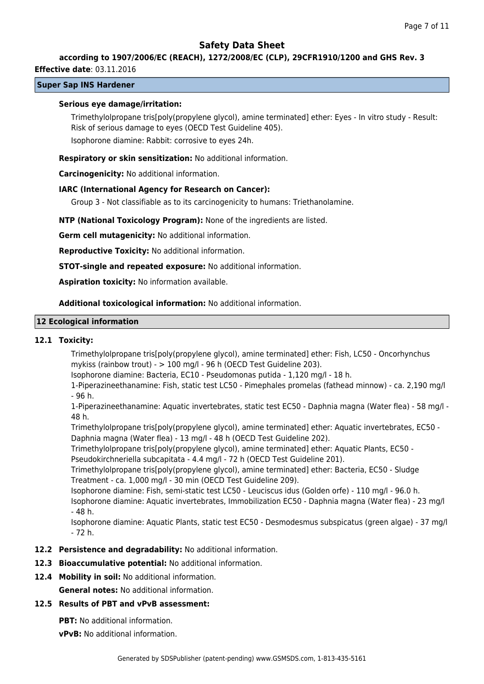## **according to 1907/2006/EC (REACH), 1272/2008/EC (CLP), 29CFR1910/1200 and GHS Rev. 3**

## **Effective date**: 03.11.2016

## **Super Sap INS Hardener**

#### **Serious eye damage/irritation:**

Trimethylolpropane tris[poly(propylene glycol), amine terminated] ether: Eyes - In vitro study - Result: Risk of serious damage to eyes (OECD Test Guideline 405).

Isophorone diamine: Rabbit: corrosive to eyes 24h.

**Respiratory or skin sensitization:** No additional information.

**Carcinogenicity:** No additional information.

#### **IARC (International Agency for Research on Cancer):**

Group 3 - Not classifiable as to its carcinogenicity to humans: Triethanolamine.

**NTP (National Toxicology Program):** None of the ingredients are listed.

**Germ cell mutagenicity:** No additional information.

**Reproductive Toxicity:** No additional information.

**STOT-single and repeated exposure:** No additional information.

**Aspiration toxicity:** No information available.

**Additional toxicological information:** No additional information.

#### **12 Ecological information**

#### **12.1 Toxicity:**

Trimethylolpropane tris[poly(propylene glycol), amine terminated] ether: Fish, LC50 - Oncorhynchus mykiss (rainbow trout) - > 100 mg/l - 96 h (OECD Test Guideline 203).

Isophorone diamine: Bacteria, EC10 - Pseudomonas putida - 1,120 mg/l - 18 h.

1-Piperazineethanamine: Fish, static test LC50 - Pimephales promelas (fathead minnow) - ca. 2,190 mg/l - 96 h.

1-Piperazineethanamine: Aquatic invertebrates, static test EC50 - Daphnia magna (Water flea) - 58 mg/l - 48 h.

Trimethylolpropane tris[poly(propylene glycol), amine terminated] ether: Aquatic invertebrates, EC50 - Daphnia magna (Water flea) - 13 mg/l - 48 h (OECD Test Guideline 202).

Trimethylolpropane tris[poly(propylene glycol), amine terminated] ether: Aquatic Plants, EC50 - Pseudokirchneriella subcapitata - 4.4 mg/l - 72 h (OECD Test Guideline 201).

Trimethylolpropane tris[poly(propylene glycol), amine terminated] ether: Bacteria, EC50 - Sludge Treatment - ca. 1,000 mg/l - 30 min (OECD Test Guideline 209).

Isophorone diamine: Fish, semi-static test LC50 - Leuciscus idus (Golden orfe) - 110 mg/l - 96.0 h.

Isophorone diamine: Aquatic invertebrates, Immobilization EC50 - Daphnia magna (Water flea) - 23 mg/l - 48 h.

Isophorone diamine: Aquatic Plants, static test EC50 - Desmodesmus subspicatus (green algae) - 37 mg/l - 72 h.

**12.2 Persistence and degradability:** No additional information.

## **12.3 Bioaccumulative potential:** No additional information.

**12.4 Mobility in soil:** No additional information.

**General notes:** No additional information.

## **12.5 Results of PBT and vPvB assessment:**

**PBT:** No additional information.

**vPvB:** No additional information.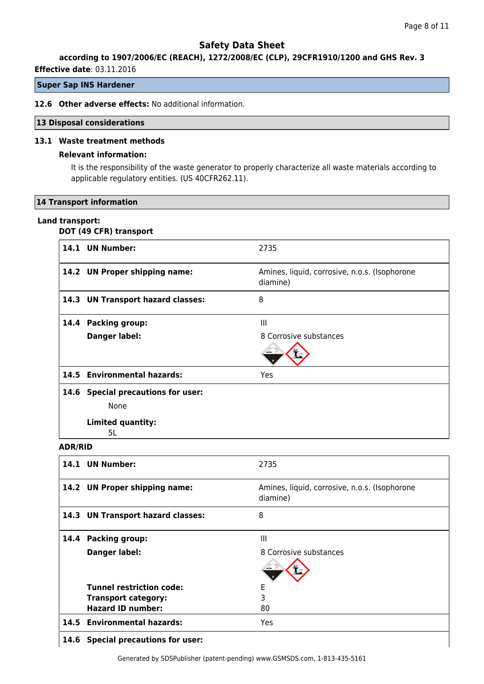## **according to 1907/2006/EC (REACH), 1272/2008/EC (CLP), 29CFR1910/1200 and GHS Rev. 3**

**Effective date**: 03.11.2016

## **Super Sap INS Hardener**

#### **12.6 Other adverse effects:** No additional information.

#### **13 Disposal considerations**

#### **13.1 Waste treatment methods**

## **Relevant information:**

It is the responsibility of the waste generator to properly characterize all waste materials according to applicable regulatory entities. (US 40CFR262.11).

#### **14 Transport information**

#### **Land transport:**

## **DOT (49 CFR) transport**

|                | 14.1 UN Number:                    | 2735                                                      |
|----------------|------------------------------------|-----------------------------------------------------------|
|                | 14.2 UN Proper shipping name:      | Amines, liquid, corrosive, n.o.s. (Isophorone<br>diamine) |
|                | 14.3 UN Transport hazard classes:  | 8                                                         |
|                | 14.4 Packing group:                | Ш                                                         |
|                | Danger label:                      | 8 Corrosive substances                                    |
|                |                                    |                                                           |
|                | 14.5 Environmental hazards:        | Yes                                                       |
|                | 14.6 Special precautions for user: |                                                           |
|                | <b>None</b>                        |                                                           |
|                | Limited quantity:<br>5L            |                                                           |
| <b>ADR/RID</b> |                                    |                                                           |
|                | 14.1 UN Number:                    | 2735                                                      |
|                | 14.2 UN Proper shipping name:      | Amines, liquid, corrosive, n.o.s. (Isophorone<br>diamine) |
|                | 14.3 UN Transport hazard classes:  | 8                                                         |
|                | 14.4 Packing group:                | III                                                       |
|                | Danger label:                      | 8 Corrosive substances                                    |

|      | 14.1 UN Number:                   | 2735                                                      |
|------|-----------------------------------|-----------------------------------------------------------|
|      | 14.2 UN Proper shipping name:     | Amines, liquid, corrosive, n.o.s. (Isophorone<br>diamine) |
|      | 14.3 UN Transport hazard classes: | 8                                                         |
| 14.4 | <b>Packing group:</b>             | Ш                                                         |
|      | <b>Danger label:</b>              | 8 Corrosive substances                                    |
|      | <b>Tunnel restriction code:</b>   | Е                                                         |
|      | <b>Transport category:</b>        | 3                                                         |
|      | <b>Hazard ID number:</b>          | 80                                                        |
|      | 14.5 Environmental hazards:       | Yes                                                       |
|      |                                   |                                                           |

#### **14.6 Special precautions for user:**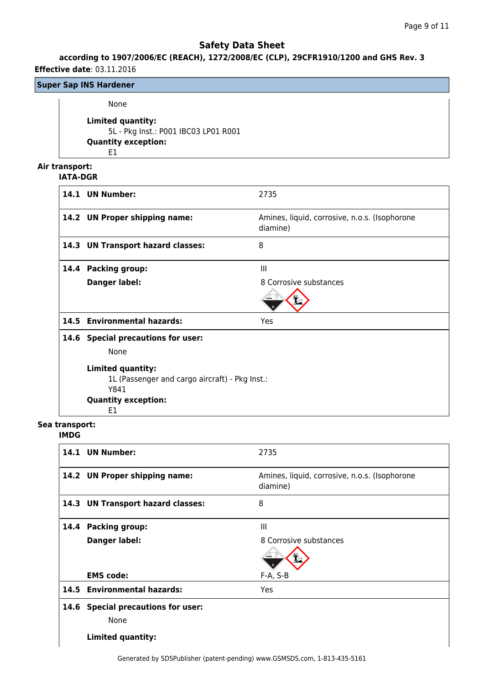## **according to 1907/2006/EC (REACH), 1272/2008/EC (CLP), 29CFR1910/1200 and GHS Rev. 3**

**Effective date**: 03.11.2016

## **Super Sap INS Hardener**

None

**Limited quantity:** 5L - Pkg Inst.: P001 IBC03 LP01 R001 **Quantity exception:** E1

## **Air transport:**

## **IATA-DGR**

|      | 14.1 UN Number:                                                                                           | 2735                                                      |
|------|-----------------------------------------------------------------------------------------------------------|-----------------------------------------------------------|
|      | 14.2 UN Proper shipping name:                                                                             | Amines, liquid, corrosive, n.o.s. (Isophorone<br>diamine) |
|      | 14.3 UN Transport hazard classes:                                                                         | 8                                                         |
| 14.4 | <b>Packing group:</b>                                                                                     | $\mathbf{III}$                                            |
|      | Danger label:                                                                                             | 8 Corrosive substances                                    |
|      |                                                                                                           |                                                           |
|      | 14.5 Environmental hazards:                                                                               | Yes                                                       |
|      | 14.6 Special precautions for user:                                                                        |                                                           |
|      | <b>None</b>                                                                                               |                                                           |
|      | Limited quantity:<br>1L (Passenger and cargo aircraft) - Pkg Inst.:<br>Y841<br><b>Quantity exception:</b> |                                                           |
|      | E1                                                                                                        |                                                           |

# **Sea transport:**

## **IMDG**

|      | 14.1 UN Number:                      | 2735                                                      |
|------|--------------------------------------|-----------------------------------------------------------|
|      | 14.2 UN Proper shipping name:        | Amines, liquid, corrosive, n.o.s. (Isophorone<br>diamine) |
|      | 14.3 UN Transport hazard classes:    | 8                                                         |
|      | 14.4 Packing group:                  | III                                                       |
|      | <b>Danger label:</b>                 | 8 Corrosive substances                                    |
|      |                                      |                                                           |
|      | <b>EMS</b> code:                     | $F-A, S-B$                                                |
|      | 14.5 Environmental hazards:          | Yes                                                       |
| 14.6 | <b>Special precautions for user:</b> |                                                           |
|      | None                                 |                                                           |
|      | <b>Limited quantity:</b>             |                                                           |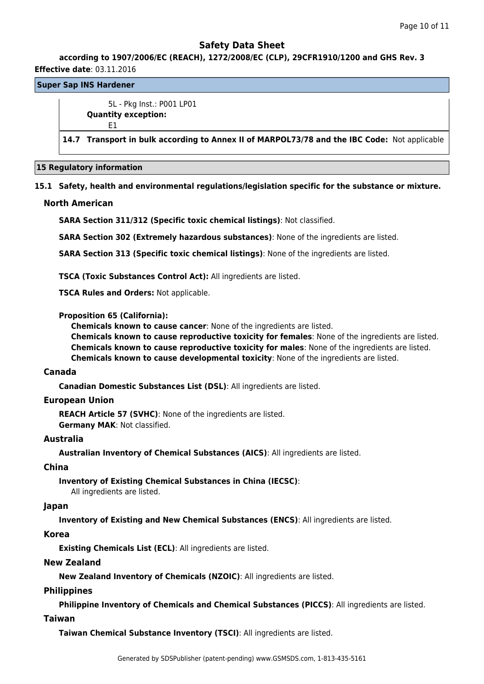## **according to 1907/2006/EC (REACH), 1272/2008/EC (CLP), 29CFR1910/1200 and GHS Rev. 3 Effective date**: 03.11.2016

# **Super Sap INS Hardener**

5L - Pkg Inst.: P001 LP01 **Quantity exception:** E1

**14.7 Transport in bulk according to Annex II of MARPOL73/78 and the IBC Code:** Not applicable

#### **15 Regulatory information**

## **15.1 Safety, health and environmental regulations/legislation specific for the substance or mixture.**

## **North American**

**SARA Section 311/312 (Specific toxic chemical listings)**: Not classified.

**SARA Section 302 (Extremely hazardous substances)**: None of the ingredients are listed.

**SARA Section 313 (Specific toxic chemical listings)**: None of the ingredients are listed.

**TSCA (Toxic Substances Control Act):** All ingredients are listed.

**TSCA Rules and Orders:** Not applicable.

## **Proposition 65 (California):**

**Chemicals known to cause cancer**: None of the ingredients are listed.

**Chemicals known to cause reproductive toxicity for females**: None of the ingredients are listed. **Chemicals known to cause reproductive toxicity for males**: None of the ingredients are listed. **Chemicals known to cause developmental toxicity**: None of the ingredients are listed.

#### **Canada**

**Canadian Domestic Substances List (DSL)**: All ingredients are listed.

## **European Union**

**REACH Article 57 (SVHC)**: None of the ingredients are listed. **Germany MAK**: Not classified.

## **Australia**

**Australian Inventory of Chemical Substances (AICS)**: All ingredients are listed.

#### **China**

**Inventory of Existing Chemical Substances in China (IECSC)**:

## All ingredients are listed.

#### **Japan**

**Inventory of Existing and New Chemical Substances (ENCS)**: All ingredients are listed.

## **Korea**

**Existing Chemicals List (ECL)**: All ingredients are listed.

#### **New Zealand**

**New Zealand Inventory of Chemicals (NZOIC)**: All ingredients are listed.

## **Philippines**

**Philippine Inventory of Chemicals and Chemical Substances (PICCS)**: All ingredients are listed.

## **Taiwan**

**Taiwan Chemical Substance Inventory (TSCI)**: All ingredients are listed.